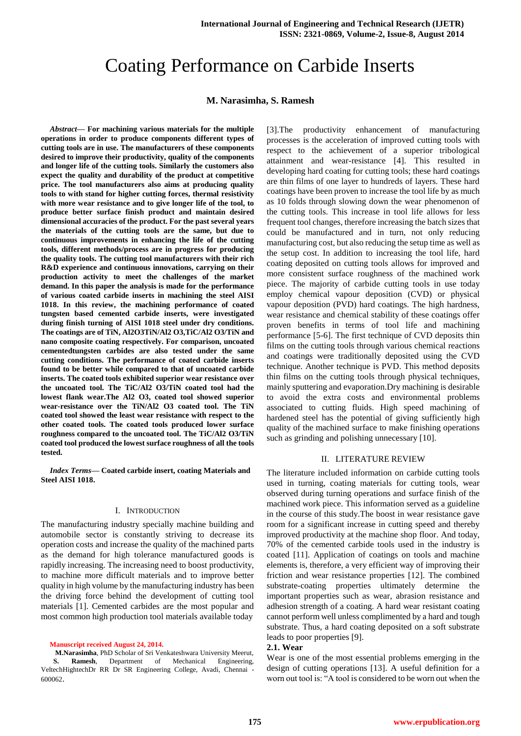# Coating Performance on Carbide Inserts

## **M. Narasimha, S. Ramesh**

*Abstract***— For machining various materials for the multiple operations in order to produce components different types of cutting tools are in use. The manufacturers of these components desired to improve their productivity, quality of the components and longer life of the cutting tools. Similarly the customers also expect the quality and durability of the product at competitive price. The tool manufacturers also aims at producing quality tools to with stand for higher cutting forces, thermal resistivity with more wear resistance and to give longer life of the tool, to produce better surface finish product and maintain desired dimensional accuracies of the product. For the past several years the materials of the cutting tools are the same, but due to continuous improvements in enhancing the life of the cutting tools, different methods/process are in progress for producing the quality tools. The cutting tool manufacturers with their rich R&D experience and continuous innovations, carrying on their production activity to meet the challenges of the market demand. In this paper the analysis is made for the performance of various coated carbide inserts in machining the steel AISI 1018. In this review, the machining performance of coated tungsten based cemented carbide inserts, were investigated during finish turning of AISI 1018 steel under dry conditions. The coatings are of TiN, Al2O3TiN/Al2 O3,TiC/Al2 O3/TiN and nano composite coating respectively. For comparison, uncoated cementedtungsten carbides are also tested under the same cutting conditions. The performance of coated carbide inserts found to be better while compared to that of uncoated carbide inserts. The coated tools exhibited superior wear resistance over the uncoated tool. The TiC/Al2 O3/TiN coated tool had the lowest flank wear.The Al2 O3, coated tool showed superior wear-resistance over the TiN/Al2 O3 coated tool. The TiN coated tool showed the least wear resistance with respect to the other coated tools. The coated tools produced lower surface roughness compared to the uncoated tool. The TiC/Al2 O3/TiN coated tool produced the lowest surface roughness of all the tools tested.**

*Index Terms***— Coated carbide insert, coating Materials and Steel AISI 1018.** 

#### I. INTRODUCTION

The manufacturing industry specially machine building and automobile sector is constantly striving to decrease its operation costs and increase the quality of the machined parts as the demand for high tolerance manufactured goods is rapidly increasing. The increasing need to boost productivity, to machine more difficult materials and to improve better quality in high volume by the manufacturing industry has been the driving force behind the development of cutting tool materials [1]. Cemented carbides are the most popular and most common high production tool materials available today

**Manuscript received August 24, 2014.**

**M.Narasimha**, PhD Scholar of Sri Venkateshwara University Meerut, **S. Ramesh**, Department of Mechanical Engineering, VeltechHightechDr RR Dr SR Engineering College, Avadi, Chennai - 600062.

[3].The productivity enhancement of manufacturing processes is the acceleration of improved cutting tools with respect to the achievement of a superior tribological attainment and wear-resistance [4]. This resulted in developing hard coating for cutting tools; these hard coatings are thin films of one layer to hundreds of layers. These hard coatings have been proven to increase the tool life by as much as 10 folds through slowing down the wear phenomenon of the cutting tools. This increase in tool life allows for less frequent tool changes, therefore increasing the batch sizes that could be manufactured and in turn, not only reducing manufacturing cost, but also reducing the setup time as well as the setup cost. In addition to increasing the tool life, hard coating deposited on cutting tools allows for improved and more consistent surface roughness of the machined work piece. The majority of carbide cutting tools in use today employ chemical vapour deposition (CVD) or physical vapour deposition (PVD) hard coatings. The high hardness, wear resistance and chemical stability of these coatings offer proven benefits in terms of tool life and machining performance [5-6]. The first technique of CVD deposits thin films on the cutting tools through various chemical reactions and coatings were traditionally deposited using the CVD technique. Another technique is PVD. This method deposits thin films on the cutting tools through physical techniques, mainly sputtering and evaporation.Dry machining is desirable to avoid the extra costs and environmental problems associated to cutting fluids. High speed machining of hardened steel has the potential of giving sufficiently high quality of the machined surface to make finishing operations such as grinding and polishing unnecessary [10].

## II. LITERATURE REVIEW

The literature included information on carbide cutting tools used in turning, coating materials for cutting tools, wear observed during turning operations and surface finish of the machined work piece. This information served as a guideline in the course of this study.The boost in wear resistance gave room for a significant increase in cutting speed and thereby improved productivity at the machine shop floor. And today, 70% of the cemented carbide tools used in the industry is coated [11]. Application of coatings on tools and machine elements is, therefore, a very efficient way of improving their friction and wear resistance properties [12]. The combined substrate-coating properties ultimately determine the important properties such as wear, abrasion resistance and adhesion strength of a coating. A hard wear resistant coating cannot perform well unless complimented by a hard and tough substrate. Thus, a hard coating deposited on a soft substrate leads to poor properties [9].

#### **2.1. Wear**

Wear is one of the most essential problems emerging in the design of cutting operations [13]. A useful definition for a worn out tool is: "A tool is considered to be worn out when the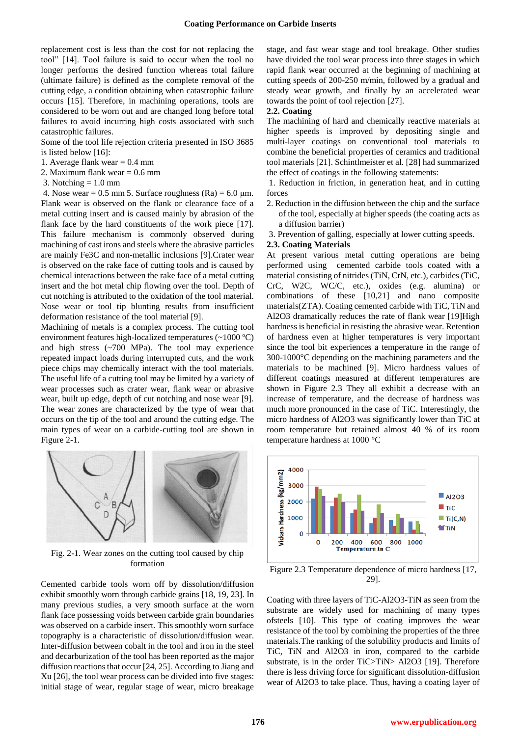replacement cost is less than the cost for not replacing the tool" [14]. Tool failure is said to occur when the tool no longer performs the desired function whereas total failure (ultimate failure) is defined as the complete removal of the cutting edge, a condition obtaining when catastrophic failure occurs [15]. Therefore, in machining operations, tools are considered to be worn out and are changed long before total failures to avoid incurring high costs associated with such catastrophic failures.

Some of the tool life rejection criteria presented in ISO 3685 is listed below [16]:

1. Average flank wear  $= 0.4$  mm

2. Maximum flank wear = 0.6 mm

3. Notching  $= 1.0$  mm

4. Nose wear =  $0.5$  mm 5. Surface roughness (Ra) =  $6.0$  µm. Flank wear is observed on the flank or clearance face of a metal cutting insert and is caused mainly by abrasion of the flank face by the hard constituents of the work piece [17]. This failure mechanism is commonly observed during machining of cast irons and steels where the abrasive particles are mainly Fe3C and non-metallic inclusions [9].Crater wear is observed on the rake face of cutting tools and is caused by chemical interactions between the rake face of a metal cutting insert and the hot metal chip flowing over the tool. Depth of cut notching is attributed to the oxidation of the tool material. Nose wear or tool tip blunting results from insufficient deformation resistance of the tool material [9].

Machining of metals is a complex process. The cutting tool environment features high-localized temperatures (~1000 ºC) and high stress (~700 MPa). The tool may experience repeated impact loads during interrupted cuts, and the work piece chips may chemically interact with the tool materials. The useful life of a cutting tool may be limited by a variety of wear processes such as crater wear, flank wear or abrasive wear, built up edge, depth of cut notching and nose wear [9]. The wear zones are characterized by the type of wear that occurs on the tip of the tool and around the cutting edge. The main types of wear on a carbide-cutting tool are shown in Figure 2-1.



Fig. 2-1. Wear zones on the cutting tool caused by chip formation

Cemented carbide tools worn off by dissolution/diffusion exhibit smoothly worn through carbide grains [18, 19, 23]. In many previous studies, a very smooth surface at the worn flank face possessing voids between carbide grain boundaries was observed on a carbide insert. This smoothly worn surface topography is a characteristic of dissolution/diffusion wear. Inter-diffusion between cobalt in the tool and iron in the steel and decarburization of the tool has been reported as the major diffusion reactions that occur [24, 25]. According to Jiang and Xu [26], the tool wear process can be divided into five stages: initial stage of wear, regular stage of wear, micro breakage stage, and fast wear stage and tool breakage. Other studies have divided the tool wear process into three stages in which rapid flank wear occurred at the beginning of machining at cutting speeds of 200-250 m/min, followed by a gradual and steady wear growth, and finally by an accelerated wear towards the point of tool rejection [27].

#### **2.2. Coating**

The machining of hard and chemically reactive materials at higher speeds is improved by depositing single and multi-layer coatings on conventional tool materials to combine the beneficial properties of ceramics and traditional tool materials [21]. Schintlmeister et al. [28] had summarized the effect of coatings in the following statements:

1. Reduction in friction, in generation heat, and in cutting forces

- 2. Reduction in the diffusion between the chip and the surface of the tool, especially at higher speeds (the coating acts as a diffusion barrier)
- 3. Prevention of galling, especially at lower cutting speeds.

#### **2.3. Coating Materials**

At present various metal cutting operations are being performed using cemented carbide tools coated with a material consisting of nitrides (TiN, CrN, etc.), carbides (TiC, CrC, W2C, WC/C, etc.), oxides (e.g. alumina) or combinations of these [10,21] and nano composite materials(ZTA). Coating cemented carbide with TiC, TiN and Al2O3 dramatically reduces the rate of flank wear [19]High hardness is beneficial in resisting the abrasive wear. Retention of hardness even at higher temperatures is very important since the tool bit experiences a temperature in the range of 300-1000°C depending on the machining parameters and the materials to be machined [9]. Micro hardness values of different coatings measured at different temperatures are shown in Figure 2.3 They all exhibit a decrease with an increase of temperature, and the decrease of hardness was much more pronounced in the case of TiC. Interestingly, the micro hardness of Al2O3 was significantly lower than TiC at room temperature but retained almost 40 % of its room temperature hardness at 1000 °C



Figure 2.3 Temperature dependence of micro hardness [17, 29].

Coating with three layers of TiC-Al2O3-TiN as seen from the substrate are widely used for machining of many types ofsteels [10]. This type of coating improves the wear resistance of the tool by combining the properties of the three materials.The ranking of the solubility products and limits of TiC, TiN and Al2O3 in iron, compared to the carbide substrate, is in the order TiC>TiN> Al2O3 [19]. Therefore there is less driving force for significant dissolution-diffusion wear of Al2O3 to take place. Thus, having a coating layer of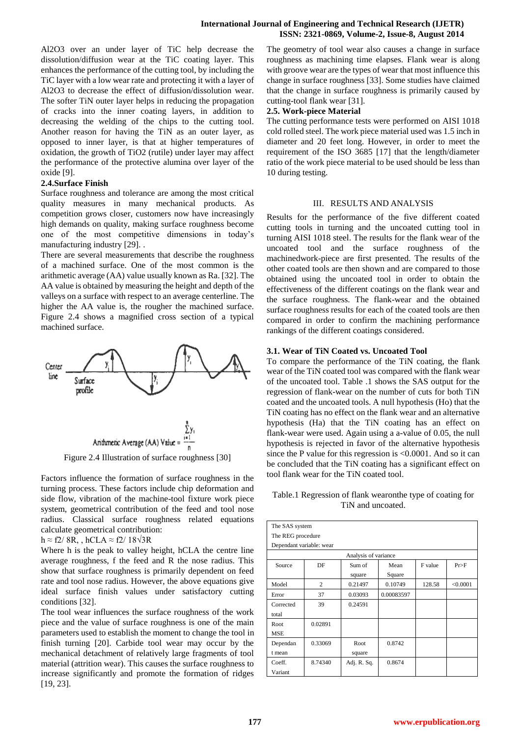Al2O3 over an under layer of TiC help decrease the dissolution/diffusion wear at the TiC coating layer. This enhances the performance of the cutting tool, by including the TiC layer with a low wear rate and protecting it with a layer of Al2O3 to decrease the effect of diffusion/dissolution wear. The softer TiN outer layer helps in reducing the propagation of cracks into the inner coating layers, in addition to decreasing the welding of the chips to the cutting tool. Another reason for having the TiN as an outer layer, as opposed to inner layer, is that at higher temperatures of oxidation, the growth of TiO2 (rutile) under layer may affect the performance of the protective alumina over layer of the oxide [9].

## **2.4.Surface Finish**

Surface roughness and tolerance are among the most critical quality measures in many mechanical products. As competition grows closer, customers now have increasingly high demands on quality, making surface roughness become one of the most competitive dimensions in today's manufacturing industry [29]. .

There are several measurements that describe the roughness of a machined surface. One of the most common is the arithmetic average (AA) value usually known as Ra. [32]. The AA value is obtained by measuring the height and depth of the valleys on a surface with respect to an average centerline. The higher the AA value is, the rougher the machined surface. Figure 2.4 shows a magnified cross section of a typical machined surface.



Figure 2.4 Illustration of surface roughness [30]

Factors influence the formation of surface roughness in the turning process. These factors include chip deformation and side flow, vibration of the machine-tool fixture work piece system, geometrical contribution of the feed and tool nose radius. Classical surface roughness related equations calculate geometrical contribution:

## h  $\approx$  f2/ 8R, , hCLA  $\approx$  f2/ 18 $\sqrt{3}$ R

Where h is the peak to valley height, hCLA the centre line average roughness, f the feed and R the nose radius. This show that surface roughness is primarily dependent on feed rate and tool nose radius. However, the above equations give ideal surface finish values under satisfactory cutting conditions [32].

The tool wear influences the surface roughness of the work piece and the value of surface roughness is one of the main parameters used to establish the moment to change the tool in finish turning [20]. Carbide tool wear may occur by the mechanical detachment of relatively large fragments of tool material (attrition wear). This causes the surface roughness to increase significantly and promote the formation of ridges [19, 23].

The geometry of tool wear also causes a change in surface roughness as machining time elapses. Flank wear is along with groove wear are the types of wear that most influence this change in surface roughness [33]. Some studies have claimed that the change in surface roughness is primarily caused by cutting-tool flank wear [31].

## **2.5. Work-piece Material**

The cutting performance tests were performed on AISI 1018 cold rolled steel. The work piece material used was 1.5 inch in diameter and 20 feet long. However, in order to meet the requirement of the ISO 3685 [17] that the length/diameter ratio of the work piece material to be used should be less than 10 during testing.

# III. RESULTS AND ANALYSIS

Results for the performance of the five different coated cutting tools in turning and the uncoated cutting tool in turning AISI 1018 steel. The results for the flank wear of the uncoated tool and the surface roughness of the machinedwork-piece are first presented. The results of the other coated tools are then shown and are compared to those obtained using the uncoated tool in order to obtain the effectiveness of the different coatings on the flank wear and the surface roughness. The flank-wear and the obtained surface roughness results for each of the coated tools are then compared in order to confirm the machining performance rankings of the different coatings considered.

# **3.1. Wear of TiN Coated vs. Uncoated Tool**

To compare the performance of the TiN coating, the flank wear of the TiN coated tool was compared with the flank wear of the uncoated tool. Table .1 shows the SAS output for the regression of flank-wear on the number of cuts for both TiN coated and the uncoated tools. A null hypothesis (Ho) that the TiN coating has no effect on the flank wear and an alternative hypothesis (Ha) that the TiN coating has an effect on flank-wear were used. Again using a a-value of 0.05, the null hypothesis is rejected in favor of the alternative hypothesis since the P value for this regression is <0.0001. And so it can be concluded that the TiN coating has a significant effect on tool flank wear for the TiN coated tool.

Table.1 Regression of flank wearonthe type of coating for TiN and uncoated.

| The SAS system           |                |                  |                |         |          |
|--------------------------|----------------|------------------|----------------|---------|----------|
| The REG procedure        |                |                  |                |         |          |
| Dependant variable: wear |                |                  |                |         |          |
| Analysis of variance     |                |                  |                |         |          |
| Source                   | DF             | Sum of<br>square | Mean<br>Square | F value | Pr>F     |
| Model                    | $\overline{2}$ | 0.21497          | 0.10749        | 128.58  | < 0.0001 |
| Error                    | 37             | 0.03093          | 0.00083597     |         |          |
| Corrected<br>total       | 39             | 0.24591          |                |         |          |
| Root<br><b>MSE</b>       | 0.02891        |                  |                |         |          |
| Dependan<br>t mean       | 0.33069        | Root<br>square   | 0.8742         |         |          |
| Coeff.<br>Variant        | 8.74340        | Adj. R. Sq.      | 0.8674         |         |          |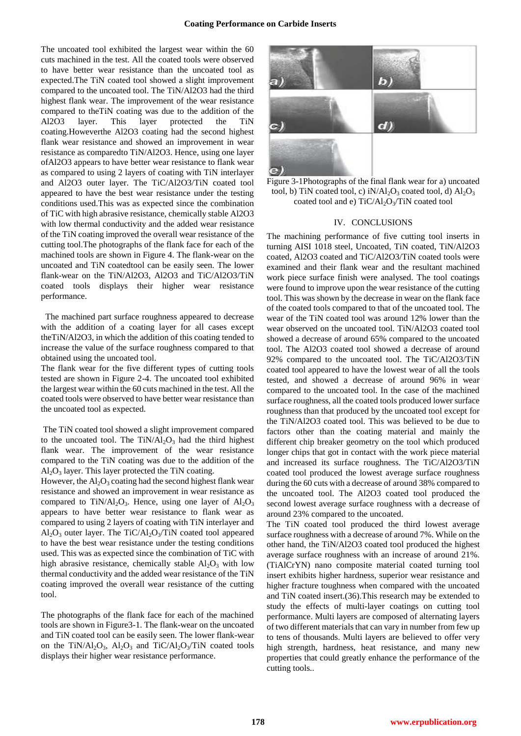The uncoated tool exhibited the largest wear within the 60 cuts machined in the test. All the coated tools were observed to have better wear resistance than the uncoated tool as expected.The TiN coated tool showed a slight improvement compared to the uncoated tool. The TiN/Al2O3 had the third highest flank wear. The improvement of the wear resistance compared to theTiN coating was due to the addition of the Al2O3 layer. This layer protected the TiN coating.Howeverthe Al2O3 coating had the second highest flank wear resistance and showed an improvement in wear resistance as comparedto TiN/Al2O3. Hence, using one layer ofAl2O3 appears to have better wear resistance to flank wear as compared to using 2 layers of coating with TiN interlayer and Al2O3 outer layer. The TiC/Al2O3/TiN coated tool appeared to have the best wear resistance under the testing conditions used.This was as expected since the combination of TiC with high abrasive resistance, chemically stable Al2O3 with low thermal conductivity and the added wear resistance of the TiN coating improved the overall wear resistance of the cutting tool.The photographs of the flank face for each of the machined tools are shown in Figure 4. The flank-wear on the uncoated and TiN coatedtool can be easily seen. The lower flank-wear on the TiN/Al2O3, Al2O3 and TiC/Al2O3/TiN coated tools displays their higher wear resistance performance.

 The machined part surface roughness appeared to decrease with the addition of a coating layer for all cases except theTiN/Al2O3, in which the addition of this coating tended to increase the value of the surface roughness compared to that obtained using the uncoated tool.

The flank wear for the five different types of cutting tools tested are shown in Figure 2-4. The uncoated tool exhibited the largest wear within the 60 cuts machined in the test. All the coated tools were observed to have better wear resistance than the uncoated tool as expected.

The TiN coated tool showed a slight improvement compared to the uncoated tool. The  $TiN/Al<sub>2</sub>O<sub>3</sub>$  had the third highest flank wear. The improvement of the wear resistance compared to the TiN coating was due to the addition of the  $Al_2O_3$  layer. This layer protected the TiN coating.

However, the  $Al_2O_3$  coating had the second highest flank wear resistance and showed an improvement in wear resistance as compared to TiN/Al<sub>2</sub>O<sub>3</sub>. Hence, using one layer of  $Al_2O_3$ appears to have better wear resistance to flank wear as compared to using 2 layers of coating with TiN interlayer and  $Al_2O_3$  outer layer. The TiC/Al<sub>2</sub>O<sub>3</sub>/TiN coated tool appeared to have the best wear resistance under the testing conditions used. This was as expected since the combination of TiC with high abrasive resistance, chemically stable  $Al_2O_3$  with low thermal conductivity and the added wear resistance of the TiN coating improved the overall wear resistance of the cutting tool.

The photographs of the flank face for each of the machined tools are shown in Figure3-1. The flank-wear on the uncoated and TiN coated tool can be easily seen. The lower flank-wear on the TiN/Al<sub>2</sub>O<sub>3</sub>, Al<sub>2</sub>O<sub>3</sub> and TiC/Al<sub>2</sub>O<sub>3</sub>/TiN coated tools displays their higher wear resistance performance.



Figure 3-1Photographs of the final flank wear for a) uncoated tool, b) TiN coated tool, c) iN/Al<sub>2</sub>O<sub>3</sub> coated tool, d)  $Al_2O_3$ coated tool and e) TiC/Al<sub>2</sub>O<sub>3</sub>/TiN coated tool

#### IV. CONCLUSIONS

The machining performance of five cutting tool inserts in turning AISI 1018 steel, Uncoated, TiN coated, TiN/Al2O3 coated, Al2O3 coated and TiC/Al2O3/TiN coated tools were examined and their flank wear and the resultant machined work piece surface finish were analysed. The tool coatings were found to improve upon the wear resistance of the cutting tool. This was shown by the decrease in wear on the flank face of the coated tools compared to that of the uncoated tool. The wear of the TiN coated tool was around 12% lower than the wear observed on the uncoated tool. TiN/Al2O3 coated tool showed a decrease of around 65% compared to the uncoated tool. The Al2O3 coated tool showed a decrease of around 92% compared to the uncoated tool. The TiC/Al2O3/TiN coated tool appeared to have the lowest wear of all the tools tested, and showed a decrease of around 96% in wear compared to the uncoated tool. In the case of the machined surface roughness, all the coated tools produced lower surface roughness than that produced by the uncoated tool except for the TiN/Al2O3 coated tool. This was believed to be due to factors other than the coating material and mainly the different chip breaker geometry on the tool which produced longer chips that got in contact with the work piece material and increased its surface roughness. The TiC/Al2O3/TiN coated tool produced the lowest average surface roughness during the 60 cuts with a decrease of around 38% compared to the uncoated tool. The Al2O3 coated tool produced the second lowest average surface roughness with a decrease of around 23% compared to the uncoated.

The TiN coated tool produced the third lowest average surface roughness with a decrease of around 7%. While on the other hand, the TiN/Al2O3 coated tool produced the highest average surface roughness with an increase of around 21%. (TiAlCrYN) nano composite material coated turning tool insert exhibits higher hardness, superior wear resistance and higher fracture toughness when compared with the uncoated and TiN coated insert.(36).This research may be extended to study the effects of multi-layer coatings on cutting tool performance. Multi layers are composed of alternating layers of two different materials that can vary in number from few up to tens of thousands. Multi layers are believed to offer very high strength, hardness, heat resistance, and many new properties that could greatly enhance the performance of the cutting tools..